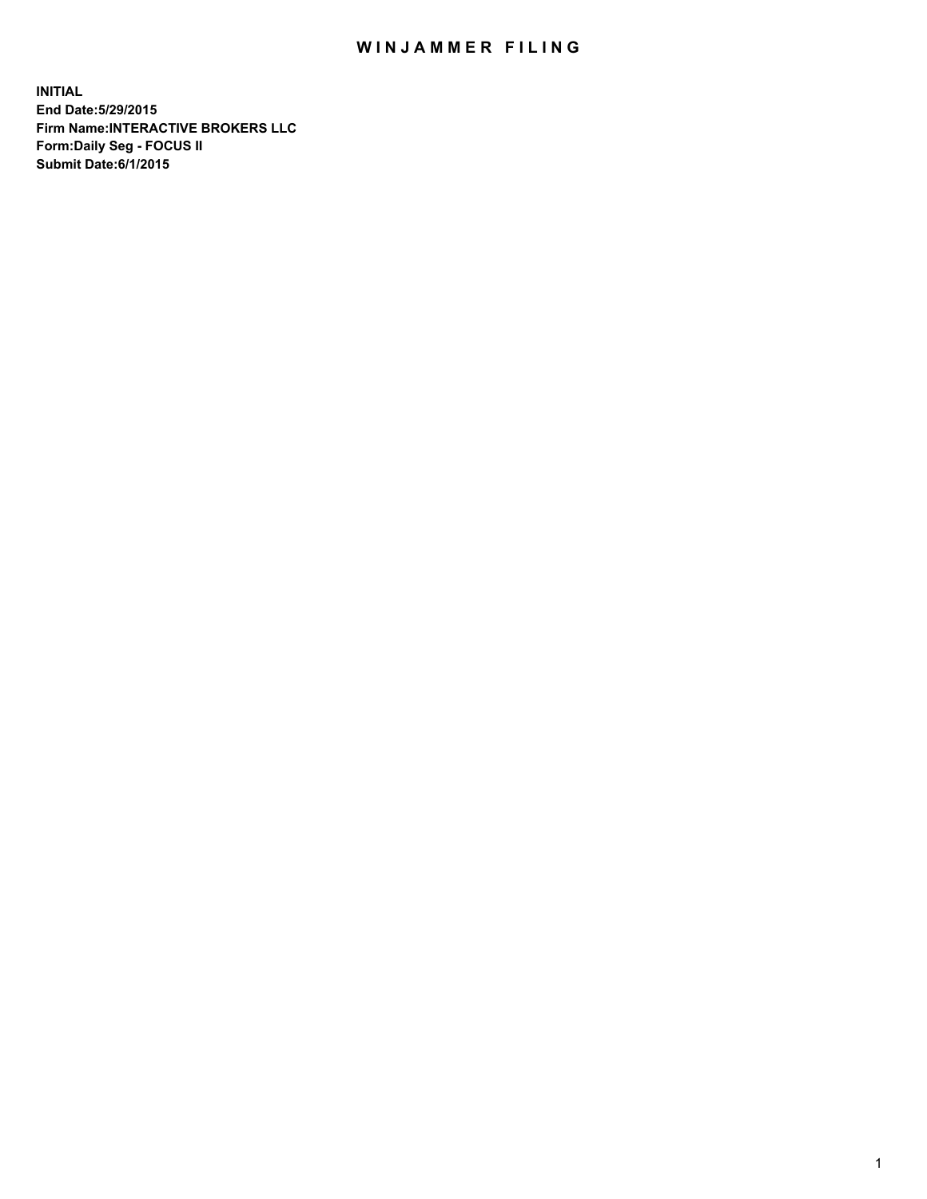## WIN JAMMER FILING

**INITIAL End Date:5/29/2015 Firm Name:INTERACTIVE BROKERS LLC Form:Daily Seg - FOCUS II Submit Date:6/1/2015**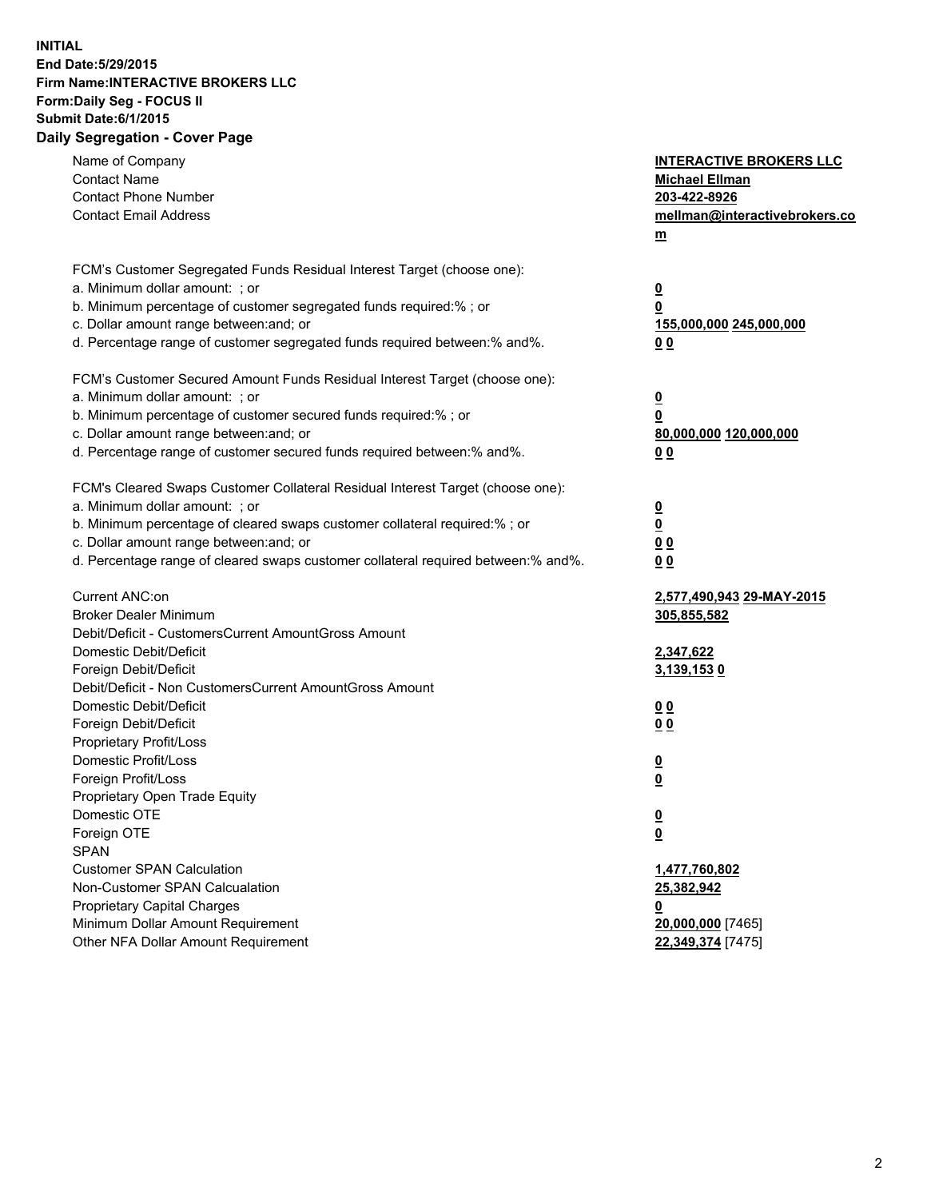## **INITIAL End Date:5/29/2015 Firm Name:INTERACTIVE BROKERS LLC Form:Daily Seg - FOCUS II Submit Date:6/1/2015 Daily Segregation - Cover Page**

| Name of Company<br><b>Contact Name</b><br><b>Contact Phone Number</b><br><b>Contact Email Address</b>                                                                                                                                                                                                                          | <b>INTERACTIVE BROKERS LLC</b><br><b>Michael Ellman</b><br>203-422-8926<br>mellman@interactivebrokers.co<br>$m$ |
|--------------------------------------------------------------------------------------------------------------------------------------------------------------------------------------------------------------------------------------------------------------------------------------------------------------------------------|-----------------------------------------------------------------------------------------------------------------|
| FCM's Customer Segregated Funds Residual Interest Target (choose one):<br>a. Minimum dollar amount: ; or<br>b. Minimum percentage of customer segregated funds required:% ; or<br>c. Dollar amount range between: and; or<br>d. Percentage range of customer segregated funds required between:% and%.                         | $\overline{\mathbf{0}}$<br>0<br>155,000,000 245,000,000<br>0 <sub>0</sub>                                       |
| FCM's Customer Secured Amount Funds Residual Interest Target (choose one):<br>a. Minimum dollar amount: ; or<br>b. Minimum percentage of customer secured funds required:% ; or<br>c. Dollar amount range between: and; or<br>d. Percentage range of customer secured funds required between:% and%.                           | $\overline{\mathbf{0}}$<br>0<br>80,000,000 120,000,000<br>0 <sub>0</sub>                                        |
| FCM's Cleared Swaps Customer Collateral Residual Interest Target (choose one):<br>a. Minimum dollar amount: ; or<br>b. Minimum percentage of cleared swaps customer collateral required:% ; or<br>c. Dollar amount range between: and; or<br>d. Percentage range of cleared swaps customer collateral required between:% and%. | $\overline{\mathbf{0}}$<br>$\underline{\mathbf{0}}$<br>0 <sub>0</sub><br>0 <sub>0</sub>                         |
| Current ANC:on<br><b>Broker Dealer Minimum</b><br>Debit/Deficit - CustomersCurrent AmountGross Amount<br>Domestic Debit/Deficit<br>Foreign Debit/Deficit                                                                                                                                                                       | 2,577,490,943 29-MAY-2015<br>305,855,582<br>2,347,622<br>3,139,1530                                             |
| Debit/Deficit - Non CustomersCurrent AmountGross Amount<br>Domestic Debit/Deficit<br>Foreign Debit/Deficit<br>Proprietary Profit/Loss<br>Domestic Profit/Loss<br>Foreign Profit/Loss                                                                                                                                           | 0 <sub>0</sub><br>0 <sub>0</sub><br>$\overline{\mathbf{0}}$<br>$\overline{\mathbf{0}}$                          |
| Proprietary Open Trade Equity<br>Domestic OTE<br>Foreign OTE<br><b>SPAN</b><br><b>Customer SPAN Calculation</b>                                                                                                                                                                                                                | $\underline{\mathbf{0}}$<br><u>0</u><br>1,477,760,802                                                           |
| Non-Customer SPAN Calcualation<br><b>Proprietary Capital Charges</b><br>Minimum Dollar Amount Requirement<br>Other NFA Dollar Amount Requirement                                                                                                                                                                               | 25,382,942<br><u>0</u><br>20,000,000 [7465]<br>22,349,374 [7475]                                                |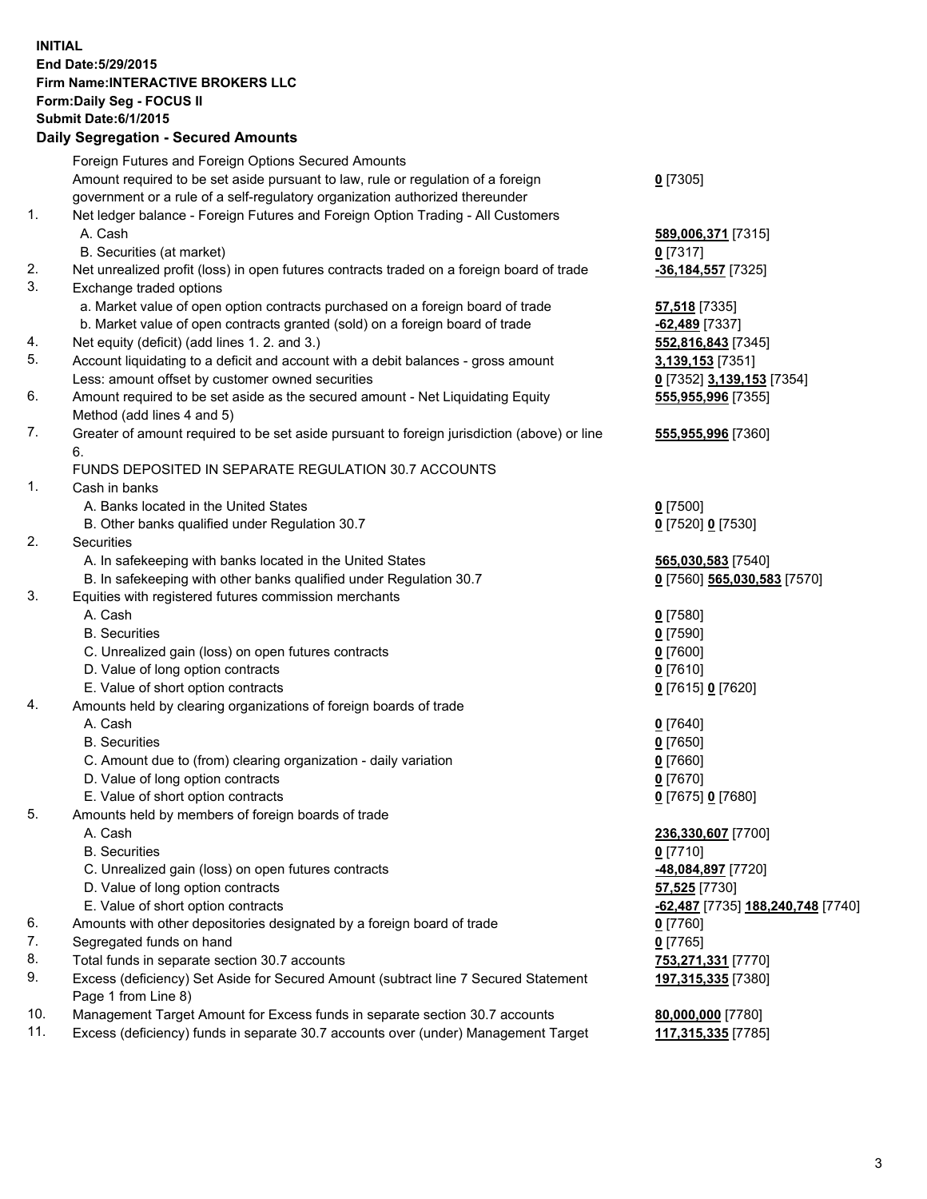## **INITIAL End Date:5/29/2015 Firm Name:INTERACTIVE BROKERS LLC Form:Daily Seg - FOCUS II Submit Date:6/1/2015 Daily Segregation - Secured Amounts**

|     | Foreign Futures and Foreign Options Secured Amounts                                                        |                                   |
|-----|------------------------------------------------------------------------------------------------------------|-----------------------------------|
|     | Amount required to be set aside pursuant to law, rule or regulation of a foreign                           | $0$ [7305]                        |
|     | government or a rule of a self-regulatory organization authorized thereunder                               |                                   |
| 1.  | Net ledger balance - Foreign Futures and Foreign Option Trading - All Customers                            |                                   |
|     | A. Cash                                                                                                    | 589,006,371 [7315]                |
|     | B. Securities (at market)                                                                                  | $0$ [7317]                        |
| 2.  | Net unrealized profit (loss) in open futures contracts traded on a foreign board of trade                  | -36,184,557 [7325]                |
| 3.  | Exchange traded options                                                                                    |                                   |
|     | a. Market value of open option contracts purchased on a foreign board of trade                             | <b>57,518</b> [7335]              |
|     | b. Market value of open contracts granted (sold) on a foreign board of trade                               | -62,489 [7337]                    |
| 4.  | Net equity (deficit) (add lines 1. 2. and 3.)                                                              | 552,816,843 [7345]                |
| 5.  | Account liquidating to a deficit and account with a debit balances - gross amount                          | 3,139,153 [7351]                  |
|     | Less: amount offset by customer owned securities                                                           | 0 [7352] 3,139,153 [7354]         |
| 6.  | Amount required to be set aside as the secured amount - Net Liquidating Equity                             | 555,955,996 [7355]                |
|     | Method (add lines 4 and 5)                                                                                 |                                   |
| 7.  | Greater of amount required to be set aside pursuant to foreign jurisdiction (above) or line                | 555,955,996 [7360]                |
|     | 6.                                                                                                         |                                   |
|     | FUNDS DEPOSITED IN SEPARATE REGULATION 30.7 ACCOUNTS                                                       |                                   |
| 1.  | Cash in banks                                                                                              |                                   |
|     | A. Banks located in the United States                                                                      | $Q$ [7500]                        |
|     | B. Other banks qualified under Regulation 30.7                                                             | 0 [7520] 0 [7530]                 |
| 2.  | Securities                                                                                                 |                                   |
|     | A. In safekeeping with banks located in the United States                                                  | 565,030,583 [7540]                |
|     | B. In safekeeping with other banks qualified under Regulation 30.7                                         | 0 [7560] 565,030,583 [7570]       |
| 3.  | Equities with registered futures commission merchants                                                      |                                   |
|     | A. Cash                                                                                                    | $0$ [7580]                        |
|     | <b>B.</b> Securities                                                                                       | $0$ [7590]                        |
|     | C. Unrealized gain (loss) on open futures contracts                                                        | $0$ [7600]                        |
|     | D. Value of long option contracts                                                                          | $0$ [7610]                        |
|     | E. Value of short option contracts                                                                         | 0 [7615] 0 [7620]                 |
| 4.  | Amounts held by clearing organizations of foreign boards of trade                                          |                                   |
|     | A. Cash                                                                                                    | $0$ [7640]                        |
|     | <b>B.</b> Securities                                                                                       | $0$ [7650]                        |
|     | C. Amount due to (from) clearing organization - daily variation                                            | $0$ [7660]                        |
|     | D. Value of long option contracts                                                                          | $0$ [7670]                        |
|     | E. Value of short option contracts                                                                         | 0 [7675] 0 [7680]                 |
| 5.  | Amounts held by members of foreign boards of trade                                                         |                                   |
|     | A. Cash                                                                                                    | 236,330,607 [7700]                |
|     | <b>B.</b> Securities                                                                                       | $0$ [7710]                        |
|     | C. Unrealized gain (loss) on open futures contracts                                                        | -48,084,897 [7720]                |
|     | D. Value of long option contracts                                                                          | 57,525 [7730]                     |
|     | E. Value of short option contracts                                                                         | -62,487 [7735] 188,240,748 [7740] |
| 6.  | Amounts with other depositories designated by a foreign board of trade                                     | $0$ [7760]                        |
| 7.  | Segregated funds on hand                                                                                   | $0$ [7765]                        |
| 8.  | Total funds in separate section 30.7 accounts                                                              | 753,271,331 [7770]                |
| 9.  | Excess (deficiency) Set Aside for Secured Amount (subtract line 7 Secured Statement<br>Page 1 from Line 8) | 197,315,335 [7380]                |
| 10. | Management Target Amount for Excess funds in separate section 30.7 accounts                                | 80,000,000 [7780]                 |
| 11. | Excess (deficiency) funds in separate 30.7 accounts over (under) Management Target                         | 117,315,335 [7785]                |
|     |                                                                                                            |                                   |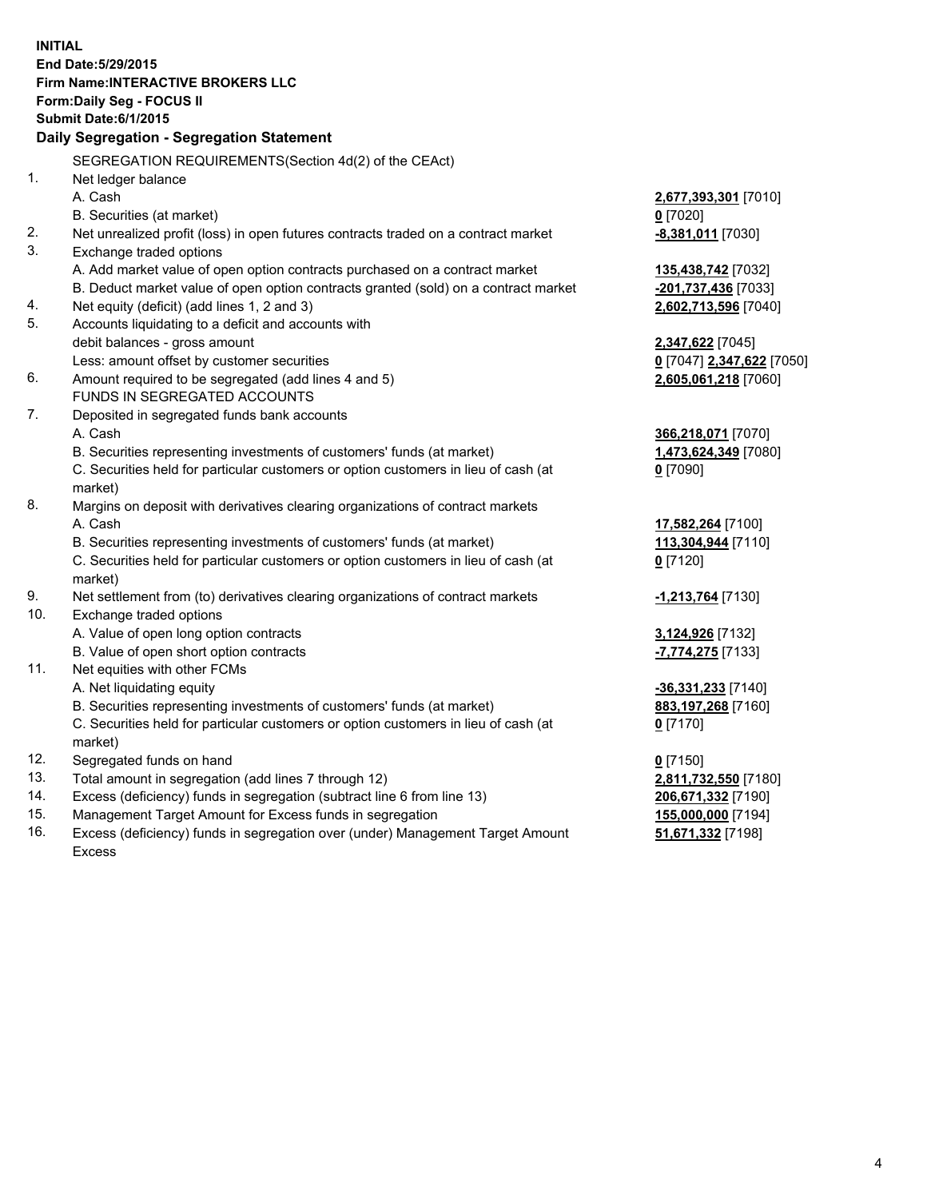**INITIAL End Date:5/29/2015 Firm Name:INTERACTIVE BROKERS LLC Form:Daily Seg - FOCUS II Submit Date:6/1/2015 Daily Segregation - Segregation Statement** SEGREGATION REQUIREMENTS(Section 4d(2) of the CEAct) 1. Net ledger balance A. Cash **2,677,393,301** [7010] B. Securities (at market) **0** [7020] 2. Net unrealized profit (loss) in open futures contracts traded on a contract market **-8,381,011** [7030] 3. Exchange traded options A. Add market value of open option contracts purchased on a contract market **135,438,742** [7032] B. Deduct market value of open option contracts granted (sold) on a contract market **-201,737,436** [7033] 4. Net equity (deficit) (add lines 1, 2 and 3) **2,602,713,596** [7040] 5. Accounts liquidating to a deficit and accounts with debit balances - gross amount **2,347,622** [7045] Less: amount offset by customer securities **0** [7047] **2,347,622** [7050] 6. Amount required to be segregated (add lines 4 and 5) **2,605,061,218** [7060] FUNDS IN SEGREGATED ACCOUNTS 7. Deposited in segregated funds bank accounts A. Cash **366,218,071** [7070] B. Securities representing investments of customers' funds (at market) **1,473,624,349** [7080] C. Securities held for particular customers or option customers in lieu of cash (at market) **0** [7090] 8. Margins on deposit with derivatives clearing organizations of contract markets A. Cash **17,582,264** [7100] B. Securities representing investments of customers' funds (at market) **113,304,944** [7110] C. Securities held for particular customers or option customers in lieu of cash (at market) **0** [7120] 9. Net settlement from (to) derivatives clearing organizations of contract markets **-1,213,764** [7130] 10. Exchange traded options A. Value of open long option contracts **3,124,926** [7132] B. Value of open short option contracts **-7,774,275** [7133] 11. Net equities with other FCMs A. Net liquidating equity **-36,331,233** [7140] B. Securities representing investments of customers' funds (at market) **883,197,268** [7160] C. Securities held for particular customers or option customers in lieu of cash (at market) **0** [7170] 12. Segregated funds on hand **0** [7150] 13. Total amount in segregation (add lines 7 through 12) **2,811,732,550** [7180] 14. Excess (deficiency) funds in segregation (subtract line 6 from line 13) **206,671,332** [7190] 15. Management Target Amount for Excess funds in segregation **155,000,000** [7194]

16. Excess (deficiency) funds in segregation over (under) Management Target Amount Excess

**51,671,332** [7198]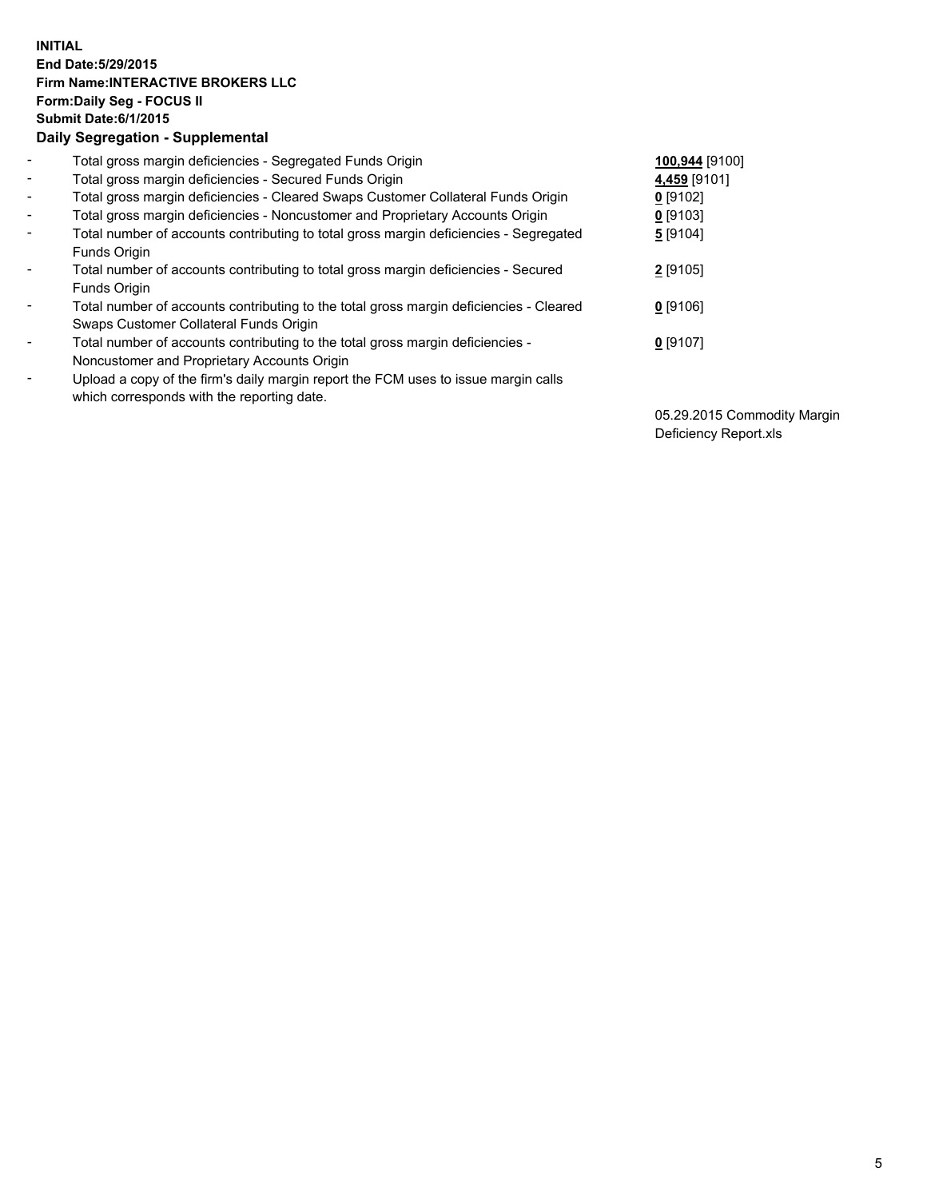## **INITIAL End Date:5/29/2015 Firm Name:INTERACTIVE BROKERS LLC Form:Daily Seg - FOCUS II Submit Date:6/1/2015 Daily Segregation - Supplemental**

| $\blacksquare$ | Total gross margin deficiencies - Segregated Funds Origin                                                                        | 100,944 [9100] |
|----------------|----------------------------------------------------------------------------------------------------------------------------------|----------------|
| $\sim$         | Total gross margin deficiencies - Secured Funds Origin                                                                           | 4,459 [9101]   |
| $\blacksquare$ | Total gross margin deficiencies - Cleared Swaps Customer Collateral Funds Origin                                                 | 0 [9102]       |
| $\blacksquare$ | Total gross margin deficiencies - Noncustomer and Proprietary Accounts Origin                                                    | $0$ [9103]     |
| $\blacksquare$ | Total number of accounts contributing to total gross margin deficiencies - Segregated<br>Funds Origin                            | 5 [9104]       |
| $\blacksquare$ | Total number of accounts contributing to total gross margin deficiencies - Secured<br>Funds Origin                               | 2 [9105]       |
| $\blacksquare$ | Total number of accounts contributing to the total gross margin deficiencies - Cleared<br>Swaps Customer Collateral Funds Origin | $0$ [9106]     |
| $\blacksquare$ | Total number of accounts contributing to the total gross margin deficiencies -<br>Noncustomer and Proprietary Accounts Origin    | $0$ [9107]     |
| $\blacksquare$ | Upload a copy of the firm's daily margin report the FCM uses to issue margin calls<br>which corresponds with the reporting date. |                |

05.29.2015 Commodity Margin Deficiency Report.xls